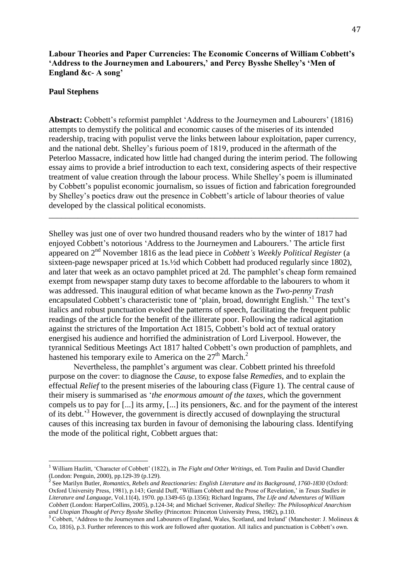# **Labour Theories and Paper Currencies: The Economic Concerns of William Cobbett's 'Address to the Journeymen and Labourers,' and Percy Bysshe Shelley's 'Men of England &c- A song'**

#### **Paul Stephens**

 $\overline{\phantom{a}}$ 

**Abstract:** Cobbett's reformist pamphlet 'Address to the Journeymen and Labourers' (1816) attempts to demystify the political and economic causes of the miseries of its intended readership, tracing with populist verve the links between labour exploitation, paper currency, and the national debt. Shelley's furious poem of 1819, produced in the aftermath of the Peterloo Massacre, indicated how little had changed during the interim period. The following essay aims to provide a brief introduction to each text, considering aspects of their respective treatment of value creation through the labour process. While Shelley's poem is illuminated by Cobbett's populist economic journalism, so issues of fiction and fabrication foregrounded by Shelley's poetics draw out the presence in Cobbett's article of labour theories of value developed by the classical political economists.

\_\_\_\_\_\_\_\_\_\_\_\_\_\_\_\_\_\_\_\_\_\_\_\_\_\_\_\_\_\_\_\_\_\_\_\_\_\_\_\_\_\_\_\_\_\_\_\_\_\_\_\_\_\_\_\_\_\_\_\_\_\_\_\_\_\_\_\_\_\_\_\_\_\_\_

Shelley was just one of over two hundred thousand readers who by the winter of 1817 had enjoyed Cobbett's notorious 'Address to the Journeymen and Labourers.' The article first appeared on 2nd November 1816 as the lead piece in *Cobbett's Weekly Political Register* (a sixteen-page newspaper priced at 1s.½d which Cobbett had produced regularly since 1802), and later that week as an octavo pamphlet priced at 2d. The pamphlet's cheap form remained exempt from newspaper stamp duty taxes to become affordable to the labourers to whom it was addressed. This inaugural edition of what became known as the *Two-penny Trash* encapsulated Cobbett's characteristic tone of 'plain, broad, downright English.<sup>1</sup> The text's italics and robust punctuation evoked the patterns of speech, facilitating the frequent public readings of the article for the benefit of the illiterate poor. Following the radical agitation against the strictures of the Importation Act 1815, Cobbett's bold act of textual oratory energised his audience and horrified the administration of Lord Liverpool. However, the tyrannical Seditious Meetings Act 1817 halted Cobbett's own production of pamphlets, and hastened his temporary exile to America on the  $27<sup>th</sup>$  March.<sup>2</sup>

Nevertheless, the pamphlet's argument was clear. Cobbett printed his threefold purpose on the cover: to diagnose the *Cause*, to expose false *Remedies*, and to explain the effectual *Relief* to the present miseries of the labouring class (Figure 1). The central cause of their misery is summarised as '*the enormous amount of the taxes*, which the government compels us to pay for [...] its army, [...] its pensioners, &c. and for the payment of the interest of its debt.' <sup>3</sup> However, the government is directly accused of downplaying the structural causes of this increasing tax burden in favour of demonising the labouring class. Identifying the mode of the political right, Cobbett argues that:

<sup>&</sup>lt;sup>1</sup> William Hazlitt, 'Character of Cobbett' (1822), in *The Fight and Other Writings*, ed. Tom Paulin and David Chandler (London: Penguin, 2000), pp.129-39 (p.129).

<sup>2</sup> See Marilyn Butler, *Romantics, Rebels and Reactionaries: English Literature and its Background, 1760-1830* (Oxford: Oxford University Press, 1981), p.143; Gerald Duff, 'William Cobbett and the Prose of Revelation,' in *Texas Studies in Literature and Language*, Vol.11(4), 1970. pp.1349-65 (p.1356); Richard Ingrams, *The Life and Adventures of William Cobbett* (London: HarperCollins, 2005), p.124-34; and Michael Scrivener, *Radical Shelley: The Philosophical Anarchism and Utopian Thought of Percy Bysshe Shelley* (Princeton: Princeton University Press, 1982), p.110.

<sup>&</sup>lt;sup>3</sup> Cobbett, 'Address to the Journeymen and Labourers of England, Wales, Scotland, and Ireland' (Manchester: J. Molineux & Co, 1816), p.3. Further references to this work are followed after quotation. All italics and punctuation is Cobbett's own.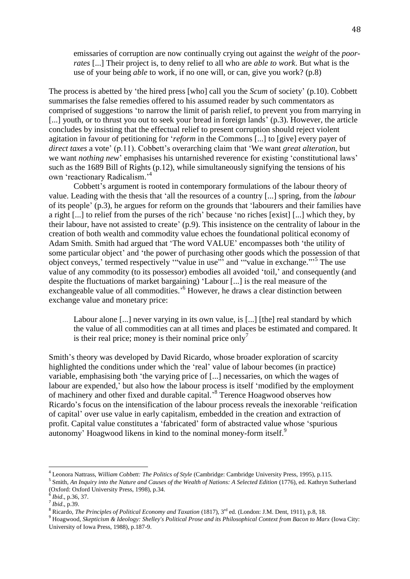emissaries of corruption are now continually crying out against the *weight* of the *poorrates* [...] Their project is, to deny relief to all who are *able to work*. But what is the use of your being *able* to work, if no one will, or can, give you work? (p.8)

The process is abetted by 'the hired press [who] call you the *Scum* of society' (p.10). Cobbett summarises the false remedies offered to his assumed reader by such commentators as comprised of suggestions 'to narrow the limit of parish relief, to prevent you from marrying in [...] youth, or to thrust you out to seek your bread in foreign lands' (p.3). However, the article concludes by insisting that the effectual relief to present corruption should reject violent agitation in favour of petitioning for '*reform* in the Commons [...] to [give] every payer of *direct taxes* a vote' (p.11). Cobbett's overarching claim that 'We want *great alteration*, but we want *nothing new*' emphasises his untarnished reverence for existing 'constitutional laws' such as the 1689 Bill of Rights (p.12), while simultaneously signifying the tensions of his own 'reactionary Radicalism.' 4

Cobbett's argument is rooted in contemporary formulations of the labour theory of value. Leading with the thesis that 'all the resources of a country [...] spring, from the *labour* of its people' (p.3), he argues for reform on the grounds that 'labourers and their families have a right [...] to relief from the purses of the rich' because 'no riches [exist] [...] which they, by their labour, have not assisted to create' (p.9). This insistence on the centrality of labour in the creation of both wealth and commodity value echoes the foundational political economy of Adam Smith. Smith had argued that 'The word VALUE' encompasses both 'the utility of some particular object' and 'the power of purchasing other goods which the possession of that object conveys,' termed respectively "value in use" and "value in exchange."<sup>5</sup> The use value of any commodity (to its possessor) embodies all avoided 'toil,' and consequently (and despite the fluctuations of market bargaining) 'Labour [...] is the real measure of the exchangeable value of all commodities.<sup>56</sup> However, he draws a clear distinction between exchange value and monetary price:

Labour alone [...] never varying in its own value, is [...] [the] real standard by which the value of all commodities can at all times and places be estimated and compared. It is their real price; money is their nominal price only<sup>7</sup>

Smith's theory was developed by David Ricardo, whose broader exploration of scarcity highlighted the conditions under which the 'real' value of labour becomes (in practice) variable, emphasising both 'the varying price of [...] necessaries, on which the wages of labour are expended,' but also how the labour process is itself 'modified by the employment of machinery and other fixed and durable capital.' 8 Terence Hoagwood observes how Ricardo's focus on the intensification of the labour process reveals the inexorable 'reification of capital' over use value in early capitalism, embedded in the creation and extraction of profit. Capital value constitutes a 'fabricated' form of abstracted value whose 'spurious autonomy' Hoagwood likens in kind to the nominal money-form itself.<sup>9</sup>

 4 Leonora Nattrass, *William Cobbett: The Politics of Style* (Cambridge: Cambridge University Press, 1995), p.115. 5 Smith, *An Inquiry into the Nature and Causes of the Wealth of Nations: A Selected Edition* (1776), ed. Kathryn Sutherland (Oxford: Oxford University Press, 1998), p.34. 6 *Ibid*., p.36, 37.

<sup>7</sup> *Ibid*., p.39.

<sup>&</sup>lt;sup>8</sup> Ricardo, *The Principles of Political Economy and Taxation* (1817), 3<sup>rd</sup> ed. (London: J.M. Dent, 1911), p.8, 18.

<sup>9</sup> Hoagwood, *Skepticism & Ideology: Shelley's Political Prose and its Philosophical Context from Bacon to Marx* (Iowa City: University of Iowa Press, 1988), p.187-9.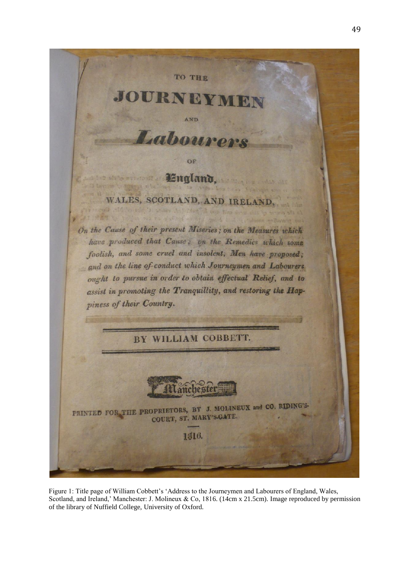TO THE JOURNEY Laboure OF **Lualand** WALES, SCOTLAND, AND IRELAND. On the Cause of their present Miseries; on the Measures which have produced that Cause, on the Remedics which some foolish, and some cruel and insolent, Men have proposed; and on the line of conduct which Journeymen and Labourers ought to pursue in order to obtain effectual Relief, and to assist in promoting the Tranquillity, and restoring the Happiness of their Country. BY WILLIAM COBBETT. PRINTED FOR THE PROPRIETORS, BY J. MOLINEUX and CO. RIDING'S-COURT, ST. MARY'S-GATE. 1816.

Figure 1: Title page of William Cobbett's 'Address to the Journeymen and Labourers of England, Wales, Scotland, and Ireland,' Manchester: J. Molineux & Co, 1816. (14cm x 21.5cm). Image reproduced by permission of the library of Nuffield College, University of Oxford.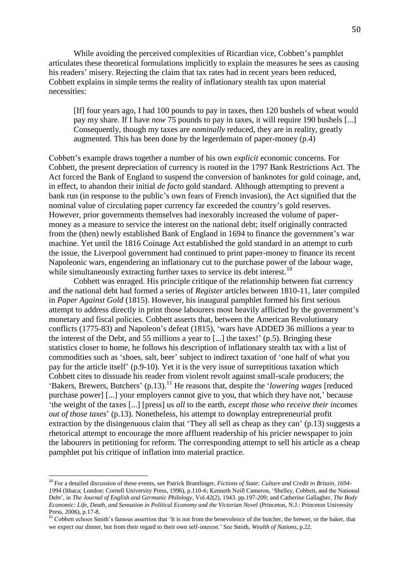While avoiding the perceived complexities of Ricardian vice, Cobbett's pamphlet articulates these theoretical formulations implicitly to explain the measures he sees as causing his readers' misery. Rejecting the claim that tax rates had in recent years been reduced, Cobbett explains in simple terms the reality of inflationary stealth tax upon material necessities:

[If] four years ago, I had 100 pounds to pay in taxes, then 120 bushels of wheat would pay my share. If I have *now* 75 pounds to pay in taxes, it will require 190 bushels [...] Consequently, though my taxes are *nominally* reduced, they are in reality, greatly augmented. This has been done by the legerdemain of paper-money (p.4)

Cobbett's example draws together a number of his own *explicit* economic concerns. For Cobbett, the present depreciation of currency is rooted in the 1797 Bank Restrictions Act. The Act forced the Bank of England to suspend the conversion of banknotes for gold coinage, and, in effect, to abandon their initial *de facto* gold standard. Although attempting to prevent a bank run (in response to the public's own fears of French invasion), the Act signified that the nominal value of circulating paper currency far exceeded the country's gold reserves. However, prior governments themselves had inexorably increased the volume of papermoney as a measure to service the interest on the national debt; itself originally contracted from the (then) newly established Bank of England in 1694 to finance the government's war machine. Yet until the 1816 Coinage Act established the gold standard in an attempt to curb the issue, the Liverpool government had continued to print paper-money to finance its recent Napoleonic wars, engendering an inflationary cut to the purchase power of the labour wage, while simultaneously extracting further taxes to service its debt interest.<sup>10</sup>

Cobbett was enraged. His principle critique of the relationship between fiat currency and the national debt had formed a series of *Register* articles between 1810-11, later compiled in *Paper Against Gold* (1815). However, his inaugural pamphlet formed his first serious attempt to address directly in print those labourers most heavily afflicted by the government's monetary and fiscal policies. Cobbett asserts that, between the American Revolutionary conflicts (1775-83) and Napoleon's defeat (1815), 'wars have ADDED 36 millions a year to the interest of the Debt, and 55 millions a year to [...] the taxes!' (p.5). Bringing these statistics closer to home, he follows his description of inflationary stealth tax with a list of commodities such as 'shoes, salt, beer' subject to indirect taxation of 'one half of what you pay for the article itself' (p.9-10). Yet it is the very issue of surreptitious taxation which Cobbett cites to dissuade his reader from violent revolt against small-scale producers; the 'Bakers, Brewers, Butchers' (p.13).<sup>11</sup> He reasons that, despite the '*lowering wages* [reduced] purchase power] [...] your employers cannot give to you, that which they have not,' because 'the weight of the taxes [...] [press] us *all* to the earth, *except those who receive their incomes out of those taxes*' (p.13). Nonetheless, his attempt to downplay entrepreneurial profit extraction by the disingenuous claim that 'They all sell as cheap as they can' (p.13) suggests a rhetorical attempt to encourage the more affluent readership of his pricier newspaper to join the labourers in petitioning for reform. The corresponding attempt to sell his article as a cheap pamphlet put his critique of inflation into material practice.

 $\overline{\phantom{a}}$ 

<sup>10</sup> For a detailed discussion of these events, see Patrick Brantlinger, *Fictions of State: Culture and Credit in Britain, 1694- 1994* (Ithaca; London: Cornell University Press, 1996), p.110-6; Kenneth Neill Cameron, 'Shelley, Cobbett, and the National Debt', in *The Journal of English and Germanic Philology*, Vol.42(2), 1943. pp.197-209; and Catherine Gallagher, *The Body Economic: Life, Death, and Sensation in Political Economy and the Victorian Novel* (Princeton, N.J.: Princeton University Press, 2006), p.17-8.

<sup>&</sup>lt;sup>11</sup> Cobbett echoes Smith's famous assertion that 'It is not from the benevolence of the butcher, the brewer, or the baker, that we expect our dinner, but from their regard to their own self-interest.' See Smith, *Wealth of Nations*, p.22.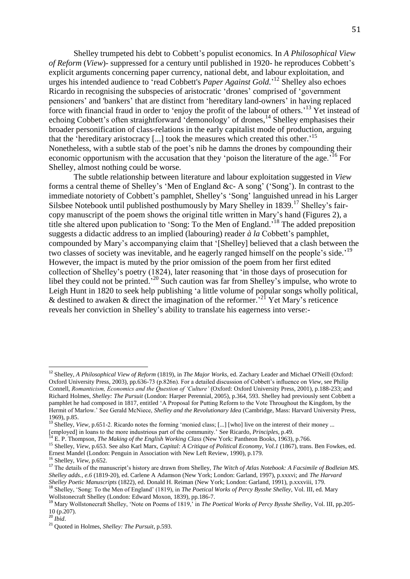Shelley trumpeted his debt to Cobbett's populist economics. In *A Philosophical View of Reform* (*View*)- suppressed for a century until published in 1920- he reproduces Cobbett's explicit arguments concerning paper currency, national debt, and labour exploitation, and urges his intended audience to 'read Cobbett's *Paper Against Gold.*' <sup>12</sup> Shelley also echoes Ricardo in recognising the subspecies of aristocratic 'drones' comprised of 'government pensioners' and 'bankers' that are distinct from 'hereditary land-owners' in having replaced force with financial fraud in order to 'enjoy the profit of the labour of others.<sup>13</sup> Yet instead of echoing Cobbett's often straightforward 'demonology' of drones,<sup>14</sup> Shelley emphasises their broader personification of class-relations in the early capitalist mode of production, arguing that the 'hereditary aristocracy [...] took the measures which created this other.' 15 Nonetheless, with a subtle stab of the poet's nib he damns the drones by compounding their economic opportunism with the accusation that they 'poison the literature of the age.<sup>'16</sup> For Shelley, almost nothing could be worse.

The subtle relationship between literature and labour exploitation suggested in *View*  forms a central theme of Shelley's 'Men of England &c- A song' ('Song'). In contrast to the immediate notoriety of Cobbett's pamphlet, Shelley's 'Song' languished unread in his Larger Silsbee Notebook until published posthumously by Mary Shelley in  $1839$ .<sup>17</sup> Shelley's faircopy manuscript of the poem shows the original title written in Mary's hand (Figures 2), a title she altered upon publication to 'Song: To the Men of England.<sup>'18</sup> The added preposition suggests a didactic address to an implied (labouring) reader *à la* Cobbett's pamphlet, compounded by Mary's accompanying claim that '[Shelley] believed that a clash between the two classes of society was inevitable, and he eagerly ranged himself on the people's side.' 19 However, the impact is muted by the prior omission of the poem from her first edited collection of Shelley's poetry (1824), later reasoning that 'in those days of prosecution for libel they could not be printed.<sup>20</sup> Such caution was far from Shelley's impulse, who wrote to Leigh Hunt in 1820 to seek help publishing 'a little volume of popular songs wholly political, & destined to awaken & direct the imagination of the reformer.<sup>221</sup> Yet Mary's reticence reveals her conviction in Shelley's ability to translate his eagerness into verse:-

 $\overline{\phantom{a}}$ 

<sup>12</sup> Shelley, *A Philosophical View of Reform* (1819), in *The Major Works*, ed. Zachary Leader and Michael O'Neill (Oxford: Oxford University Press, 2003), pp.636-73 (p.826n). For a detailed discussion of Cobbett's influence on *View*, see Philip Connell, *Romanticism, Economics and the Question of 'Culture'* (Oxford: Oxford University Press, 2001), p.188-233; and Richard Holmes, *Shelley: The Pursuit* (London: Harper Perennial, 2005), p.364, 593. Shelley had previously sent Cobbett a pamphlet he had composed in 1817, entitled 'A Proposal for Putting Reform to the Vote Throughout the Kingdom, by the Hermit of Marlow.' See Gerald McNiece, *Shelley and the Revolutionary Idea* (Cambridge, Mass: Harvard University Press, 1969), p.85.

<sup>&</sup>lt;sup>13</sup> Shelley, *View*, p.651-2. Ricardo notes the forming 'monied class; [...] [who] live on the interest of their money ...

<sup>[</sup>employed] in loans to the more industrious part of the community.' See Ricardo, *Principles*, p.49.

<sup>14</sup> E. P. Thompson, *The Making of the English Working Class* (New York: Pantheon Books, 1963), p.766.

<sup>&</sup>lt;sup>15</sup> Shelley, *View*, p.653. See also Karl Marx, *Capital: A Critique of Political Economy, Vol.1* (1867), trans. Ben Fowkes, ed. Ernest Mandel (London: Penguin in Association with New Left Review, 1990), p.179.

<sup>16</sup> Shelley, *View*, p.652.

<sup>&</sup>lt;sup>17</sup> The details of the manuscript's history are drawn from Shelley, *The Witch of Atlas Notebook: A Facsimile of Bodleian MS*. *Shelley adds., e.6* (1819-20), ed. Carlene A Adamson (New York; London: Garland, 1997), p.xxxvi; and *The Harvard Shelley Poetic Manuscripts* (1822), ed. Donald H. Reiman (New York; London: Garland, 1991), p.xxxviii, 179.

<sup>18</sup> Shelley, 'Song: To the Men of England' (1819), in *The Poetical Works of Percy Bysshe Shelley*, Vol. III, ed. Mary Wollstonecraft Shelley (London: Edward Moxon, 1839), pp.186-7.

<sup>19</sup> Mary Wollstonecraft Shelley, 'Note on Poems of 1819,' in *The Poetical Works of Percy Bysshe Shelley*, Vol. III, pp.205- 10 (p.207).

<sup>20</sup> *Ibid*.

<sup>21</sup> Quoted in Holmes, *Shelley: The Pursuit*, p.593.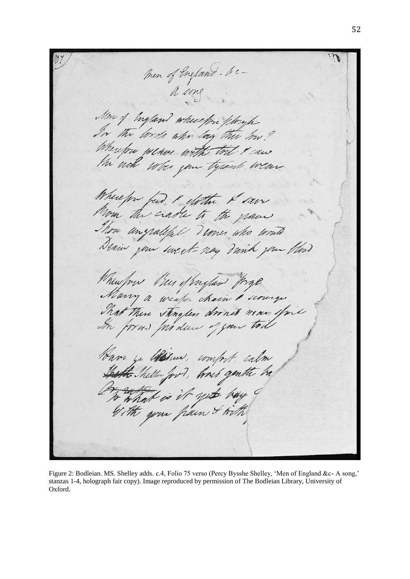men of England - &c-A song Men of England wherefore floryh In the words who long the how? Wherefore weave with tril I can Wherefor feed I dotter & sam Thou ingrateful demen who would When they payted page That there stragles drond man spile Barr ye Willow, comfort, calm By what is it get hay

Figure 2: Bodleian. MS. Shelley adds. c.4, Folio 75 verso (Percy Bysshe Shelley, 'Men of England &c- A song,' stanzas 1-4, holograph fair copy). Image reproduced by permission of The Bodleian Library, University of Oxford.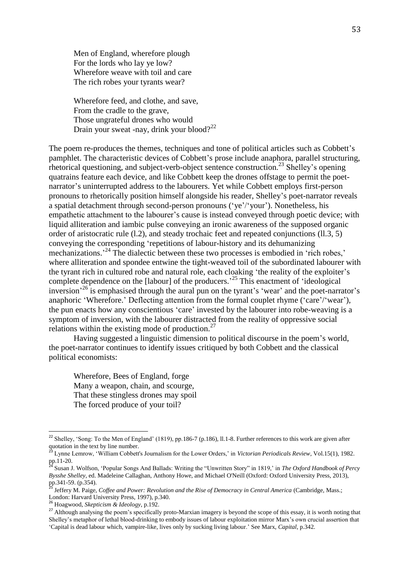Men of England, wherefore plough For the lords who lay ye low? Wherefore weave with toil and care The rich robes your tyrants wear?

Wherefore feed, and clothe, and save, From the cradle to the grave, Those ungrateful drones who would Drain your sweat -nay, drink your blood? $2^{22}$ 

The poem re-produces the themes, techniques and tone of political articles such as Cobbett's pamphlet. The characteristic devices of Cobbett's prose include anaphora, parallel structuring, rhetorical questioning, and subject-verb-object sentence construction.<sup>23</sup> Shelley's opening quatrains feature each device, and like Cobbett keep the drones offstage to permit the poetnarrator's uninterrupted address to the labourers. Yet while Cobbett employs first-person pronouns to rhetorically position himself alongside his reader, Shelley's poet-narrator reveals a spatial detachment through second-person pronouns ('ye'/'your'). Nonetheless, his empathetic attachment to the labourer's cause is instead conveyed through poetic device; with liquid alliteration and iambic pulse conveying an ironic awareness of the supposed organic order of aristocratic rule (l.2), and steady trochaic feet and repeated conjunctions (ll.3, 5) conveying the corresponding 'repetitions of labour-history and its dehumanizing mechanizations.' <sup>24</sup> The dialectic between these two processes is embodied in 'rich robes,' where alliteration and spondee entwine the tight-weaved toil of the subordinated labourer with the tyrant rich in cultured robe and natural role, each cloaking 'the reality of the exploiter's complete dependence on the [labour] of the producers.<sup>25</sup> This enactment of 'ideological inversion<sup>26</sup> is emphasised through the aural pun on the tyrant's 'wear' and the poet-narrator's anaphoric 'Wherefore.' Deflecting attention from the formal couplet rhyme ('care'/'wear'), the pun enacts how any conscientious 'care' invested by the labourer into robe-weaving is a symptom of inversion, with the labourer distracted from the reality of oppressive social relations within the existing mode of production.<sup>27</sup>

Having suggested a linguistic dimension to political discourse in the poem's world, the poet-narrator continues to identify issues critiqued by both Cobbett and the classical political economists:

Wherefore, Bees of England, forge Many a weapon, chain, and scourge, That these stingless drones may spoil The forced produce of your toil?

 $\overline{a}$ 

<sup>&</sup>lt;sup>22</sup> Shelley, 'Song: To the Men of England' (1819), pp.186-7 (p.186), ll.1-8. Further references to this work are given after quotation in the text by line number.

<sup>23</sup> Lynne Lemrow, 'William Cobbett's Journalism for the Lower Orders,' in *Victorian Periodicals Review*, Vol.15(1), 1982.  $pp.11-20.$ 

<sup>24</sup> Susan J. Wolfson, 'Popular Songs And Ballads: Writing the "Unwritten Story" in 1819,' in *The Oxford Handbook of Percy Bysshe Shelley*, ed. Madeleine Callaghan, Anthony Howe, and Michael O'Neill (Oxford: Oxford University Press, 2013), pp.341-59. (p.354).

<sup>25</sup> Jeffery M. Paige, *Coffee and Power: Revolution and the Rise of Democracy in Central America* (Cambridge, Mass.; London: Harvard University Press, 1997), p.340.

<sup>26</sup> Hoagwood, *Skepticism & Ideology*, p.192.

<sup>&</sup>lt;sup>27</sup> Although analysing the poem's specifically proto-Marxian imagery is beyond the scope of this essay, it is worth noting that Shelley's metaphor of lethal blood-drinking to embody issues of labour exploitation mirror Marx's own crucial assertion that 'Capital is dead labour which, vampire-like, lives only by sucking living labour.' See Marx, *Capital*, p.342.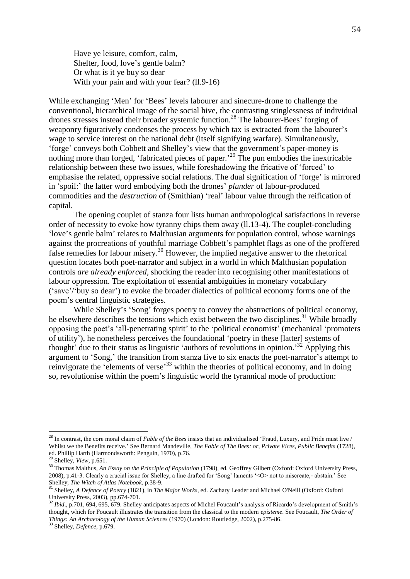Have ye leisure, comfort, calm, Shelter, food, love's gentle balm? Or what is it ye buy so dear With your pain and with your fear? (ll.9-16)

While exchanging 'Men' for 'Bees' levels labourer and sinecure-drone to challenge the conventional, hierarchical image of the social hive, the contrasting stinglessness of individual drones stresses instead their broader systemic function.<sup>28</sup> The labourer-Bees' forging of weaponry figuratively condenses the process by which tax is extracted from the labourer's wage to service interest on the national debt (itself signifying warfare). Simultaneously, 'forge' conveys both Cobbett and Shelley's view that the government's paper-money is nothing more than forged, 'fabricated pieces of paper.<sup>29</sup> The pun embodies the inextricable relationship between these two issues, while foreshadowing the fricative of 'forced' to emphasise the related, oppressive social relations. The dual signification of 'forge' is mirrored in 'spoil:' the latter word embodying both the drones' *plunder* of labour-produced commodities and the *destruction* of (Smithian) 'real' labour value through the reification of capital.

The opening couplet of stanza four lists human anthropological satisfactions in reverse order of necessity to evoke how tyranny chips them away (ll.13-4). The couplet-concluding 'love's gentle balm' relates to Malthusian arguments for population control, whose warnings against the procreations of youthful marriage Cobbett's pamphlet flags as one of the proffered false remedies for labour misery.<sup>30</sup> However, the implied negative answer to the rhetorical question locates both poet-narrator and subject in a world in which Malthusian population controls *are already enforced*, shocking the reader into recognising other manifestations of labour oppression. The exploitation of essential ambiguities in monetary vocabulary ('save'/'buy so dear') to evoke the broader dialectics of political economy forms one of the poem's central linguistic strategies.

While Shelley's 'Song' forges poetry to convey the abstractions of political economy, he elsewhere describes the tensions which exist between the two disciplines.<sup>31</sup> While broadly opposing the poet's 'all-penetrating spirit' to the 'political economist' (mechanical 'promoters of utility'), he nonetheless perceives the foundational 'poetry in these [latter] systems of thought' due to their status as linguistic 'authors of revolutions in opinion.<sup>32</sup> Applying this argument to 'Song,' the transition from stanza five to six enacts the poet-narrator's attempt to reinvigorate the 'elements of verse<sup>33</sup> within the theories of political economy, and in doing so, revolutionise within the poem's linguistic world the tyrannical mode of production:

 $\overline{a}$ 

<sup>28</sup> In contrast, the core moral claim of *Fable of the Bees* insists that an individualised 'Fraud, Luxury, and Pride must live / Whilst we the Benefits receive.' See Bernard Mandeville, *The Fable of The Bees: or, Private Vices, Public Benefits* (1728), ed. Phillip Harth (Harmondsworth: Penguin, 1970), p.76.

<sup>29</sup> Shelley, *View*, p.651.

<sup>30</sup> Thomas Malthus, *An Essay on the Principle of Population* (1798), ed. Geoffrey Gilbert (Oxford: Oxford University Press, 2008), p.41-3. Clearly a crucial issue for Shelley, a line drafted for 'Song' laments '<O> not to miscreate,- abstain.' See Shelley, *The Witch of Atlas Notebook*, p.38-9.

<sup>&</sup>lt;sup>31</sup> Shelley, *A Defence of Poetry* (1821), in *The Major Works*, ed. Zachary Leader and Michael O'Neill (Oxford: Oxford University Press, 2003), pp.674-701.

<sup>&</sup>lt;sup>32</sup> *Ibid.*, p.701, 694, 695, 679. Shelley anticipates aspects of Michel Foucault's analysis of Ricardo's development of Smith's thought, which for Foucault illustrates the transition from the classical to the modern *episteme*. See Foucault, *The Order of Things: An Archaeology of the Human Sciences* (1970) (London: Routledge, 2002), p.275-86.

<sup>33</sup> Shelley, *Defence*, p.679.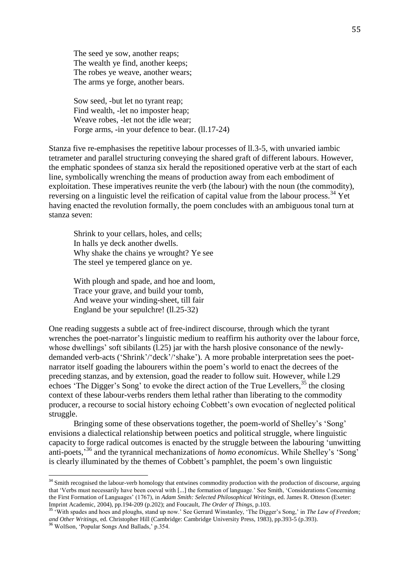The seed ye sow, another reaps; The wealth ye find, another keeps; The robes ye weave, another wears; The arms ye forge, another bears.

Sow seed, -but let no tyrant reap; Find wealth, -let no imposter heap; Weave robes, -let not the idle wear; Forge arms, -in your defence to bear. (ll.17-24)

Stanza five re-emphasises the repetitive labour processes of ll.3-5, with unvaried iambic tetrameter and parallel structuring conveying the shared graft of different labours. However, the emphatic spondees of stanza six herald the repositioned operative verb at the start of each line, symbolically wrenching the means of production away from each embodiment of exploitation. These imperatives reunite the verb (the labour) with the noun (the commodity), reversing on a linguistic level the reification of capital value from the labour process.<sup>34</sup> Yet having enacted the revolution formally, the poem concludes with an ambiguous tonal turn at stanza seven:

Shrink to your cellars, holes, and cells; In halls ye deck another dwells. Why shake the chains ye wrought? Ye see The steel ye tempered glance on ye.

With plough and spade, and hoe and loom, Trace your grave, and build your tomb, And weave your winding-sheet, till fair England be your sepulchre! (ll.25-32)

 $\overline{\phantom{a}}$ 

One reading suggests a subtle act of free-indirect discourse, through which the tyrant wrenches the poet-narrator's linguistic medium to reaffirm his authority over the labour force, whose dwellings' soft sibilants (1.25) jar with the harsh plosive consonance of the newlydemanded verb-acts ('Shrink'/'deck'/'shake'). A more probable interpretation sees the poetnarrator itself goading the labourers within the poem's world to enact the decrees of the preceding stanzas, and by extension, goad the reader to follow suit. However, while l.29 echoes 'The Digger's Song' to evoke the direct action of the True Levellers,<sup>35</sup> the closing context of these labour-verbs renders them lethal rather than liberating to the commodity producer, a recourse to social history echoing Cobbett's own evocation of neglected political struggle.

Bringing some of these observations together, the poem-world of Shelley's 'Song' envisions a dialectical relationship between poetics and political struggle, where linguistic capacity to forge radical outcomes is enacted by the struggle between the labouring 'unwitting anti-poets,' <sup>36</sup> and the tyrannical mechanizations of *homo economicus*. While Shelley's 'Song' is clearly illuminated by the themes of Cobbett's pamphlet, the poem's own linguistic

<sup>&</sup>lt;sup>34</sup> Smith recognised the labour-verb homology that entwines commodity production with the production of discourse, arguing that 'Verbs must necessarily have been coeval with [...] the formation of language.' See Smith, 'Considerations Concerning the First Formation of Languages' (1767), in *Adam Smith: Selected Philosophical Writings*, ed. James R. Otteson (Exeter: Imprint Academic, 2004), pp.194-209 (p.202); and Foucault, *The Order of Things*, p.103.

<sup>&</sup>lt;sup>35</sup> 'With spades and hoes and ploughs, stand up now.' See Gerrard Winstanley, 'The Digger's Song,' in *The Law of Freedom*; *and Other Writings*, ed. Christopher Hill (Cambridge: Cambridge University Press, 1983), pp.393-5 (p.393). <sup>36</sup> Wolfson, 'Popular Songs And Ballads,' p.354.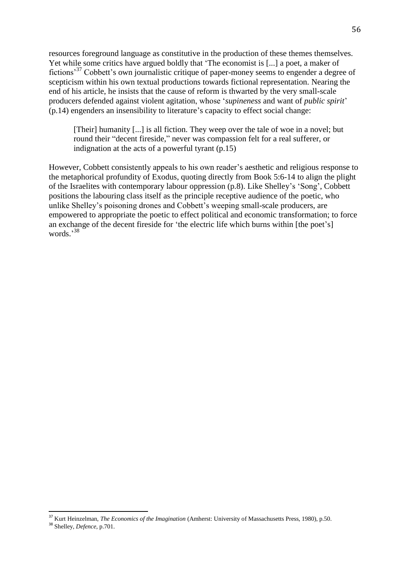resources foreground language as constitutive in the production of these themes themselves. Yet while some critics have argued boldly that 'The economist is [...] a poet, a maker of fictions<sup>37</sup> Cobbett's own journalistic critique of paper-money seems to engender a degree of scepticism within his own textual productions towards fictional representation. Nearing the end of his article, he insists that the cause of reform is thwarted by the very small-scale producers defended against violent agitation, whose '*supineness* and want of *public spirit*' (p.14) engenders an insensibility to literature's capacity to effect social change:

[Their] humanity [...] is all fiction. They weep over the tale of woe in a novel; but round their "decent fireside," never was compassion felt for a real sufferer, or indignation at the acts of a powerful tyrant (p.15)

However, Cobbett consistently appeals to his own reader's aesthetic and religious response to the metaphorical profundity of Exodus, quoting directly from Book 5:6-14 to align the plight of the Israelites with contemporary labour oppression (p.8). Like Shelley's 'Song', Cobbett positions the labouring class itself as the principle receptive audience of the poetic, who unlike Shelley's poisoning drones and Cobbett's weeping small-scale producers, are empowered to appropriate the poetic to effect political and economic transformation; to force an exchange of the decent fireside for 'the electric life which burns within [the poet's] words.' 38

 $\overline{\phantom{a}}$ 

<sup>37</sup> Kurt Heinzelman, *The Economics of the Imagination* (Amherst: University of Massachusetts Press, 1980), p.50.

<sup>38</sup> Shelley, *Defence*, p.701.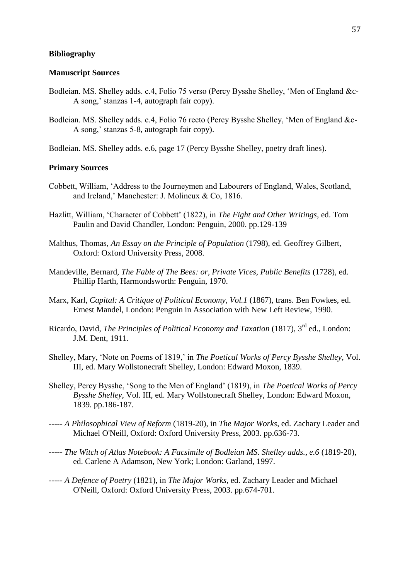### **Bibliography**

## **Manuscript Sources**

- Bodleian. MS. Shelley adds. c.4, Folio 75 verso (Percy Bysshe Shelley, 'Men of England &c-A song,' stanzas 1-4, autograph fair copy).
- Bodleian. MS. Shelley adds. c.4, Folio 76 recto (Percy Bysshe Shelley, 'Men of England &c-A song,' stanzas 5-8, autograph fair copy).
- Bodleian. MS. Shelley adds. e.6, page 17 (Percy Bysshe Shelley, poetry draft lines).

# **Primary Sources**

- Cobbett, William, 'Address to the Journeymen and Labourers of England, Wales, Scotland, and Ireland,' Manchester: J. Molineux & Co, 1816.
- Hazlitt, William, 'Character of Cobbett' (1822), in *The Fight and Other Writings*, ed. Tom Paulin and David Chandler, London: Penguin, 2000. pp.129-139
- Malthus, Thomas, *An Essay on the Principle of Population* (1798), ed. Geoffrey Gilbert, Oxford: Oxford University Press, 2008.
- Mandeville, Bernard, *The Fable of The Bees: or, Private Vices, Public Benefits* (1728), ed. Phillip Harth, Harmondsworth: Penguin, 1970.
- Marx, Karl, *Capital: A Critique of Political Economy, Vol.1* (1867), trans. Ben Fowkes, ed. Ernest Mandel, London: Penguin in Association with New Left Review, 1990.
- Ricardo, David, *The Principles of Political Economy and Taxation* (1817), 3<sup>rd</sup> ed., London: J.M. Dent, 1911.
- Shelley, Mary, 'Note on Poems of 1819,' in *The Poetical Works of Percy Bysshe Shelley*, Vol. III, ed. Mary Wollstonecraft Shelley, London: Edward Moxon, 1839.
- Shelley, Percy Bysshe, 'Song to the Men of England' (1819), in *The Poetical Works of Percy Bysshe Shelley*, Vol. III, ed. Mary Wollstonecraft Shelley, London: Edward Moxon, 1839. pp.186-187.
- ----- *A Philosophical View of Reform* (1819-20), in *The Major Works*, ed. Zachary Leader and Michael O'Neill, Oxford: Oxford University Press, 2003. pp.636-73.
- ----- *The Witch of Atlas Notebook: A Facsimile of Bodleian MS. Shelley adds., e.6* (1819-20), ed. Carlene A Adamson, New York; London: Garland, 1997.
- ----- *A Defence of Poetry* (1821), in *The Major Works*, ed. Zachary Leader and Michael O'Neill, Oxford: Oxford University Press, 2003. pp.674-701.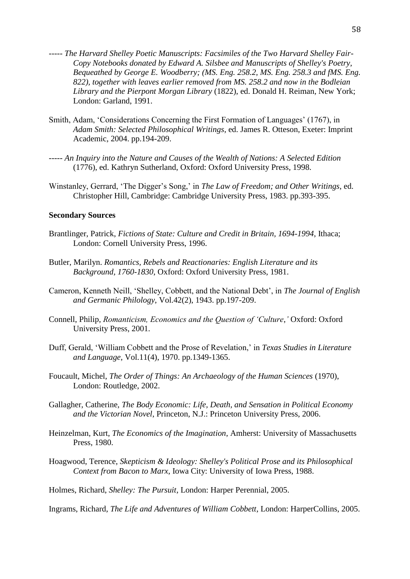- ----- *The Harvard Shelley Poetic Manuscripts: Facsimiles of the Two Harvard Shelley Fair-Copy Notebooks donated by Edward A. Silsbee and Manuscripts of Shelley's Poetry, Bequeathed by George E. Woodberry; (MS. Eng. 258.2, MS. Eng. 258.3 and fMS. Eng. 822), together with leaves earlier removed from MS. 258.2 and now in the Bodleian Library and the Pierpont Morgan Library* (1822), ed. Donald H. Reiman, New York; London: Garland, 1991.
- Smith, Adam, 'Considerations Concerning the First Formation of Languages' (1767), in *Adam Smith: Selected Philosophical Writings*, ed. James R. Otteson, Exeter: Imprint Academic, 2004. pp.194-209.
- ----- *An Inquiry into the Nature and Causes of the Wealth of Nations: A Selected Edition* (1776), ed. Kathryn Sutherland, Oxford: Oxford University Press, 1998.
- Winstanley, Gerrard, 'The Digger's Song,' in *The Law of Freedom; and Other Writings*, ed. Christopher Hill, Cambridge: Cambridge University Press, 1983. pp.393-395.

# **Secondary Sources**

- Brantlinger, Patrick, *Fictions of State: Culture and Credit in Britain, 1694-1994*, Ithaca; London: Cornell University Press, 1996.
- Butler, Marilyn. *Romantics, Rebels and Reactionaries: English Literature and its Background, 1760-1830*, Oxford: Oxford University Press, 1981.
- Cameron, Kenneth Neill, 'Shelley, Cobbett, and the National Debt', in *The Journal of English and Germanic Philology*, Vol.42(2), 1943. pp.197-209.
- Connell, Philip, *Romanticism, Economics and the Question of 'Culture*,*'* Oxford: Oxford University Press, 2001.
- Duff, Gerald, 'William Cobbett and the Prose of Revelation,' in *Texas Studies in Literature and Language*, Vol.11(4), 1970. pp.1349-1365.
- Foucault, Michel, *The Order of Things: An Archaeology of the Human Sciences* (1970), London: Routledge, 2002.
- Gallagher, Catherine, *The Body Economic: Life, Death, and Sensation in Political Economy and the Victorian Novel*, Princeton, N.J.: Princeton University Press, 2006.
- Heinzelman, Kurt, *The Economics of the Imagination*, Amherst: University of Massachusetts Press, 1980.
- Hoagwood, Terence, *Skepticism & Ideology: Shelley's Political Prose and its Philosophical Context from Bacon to Marx*, Iowa City: University of Iowa Press, 1988.

Holmes, Richard, *Shelley: The Pursuit*, London: Harper Perennial, 2005.

Ingrams, Richard, *The Life and Adventures of William Cobbett*, London: HarperCollins, 2005.